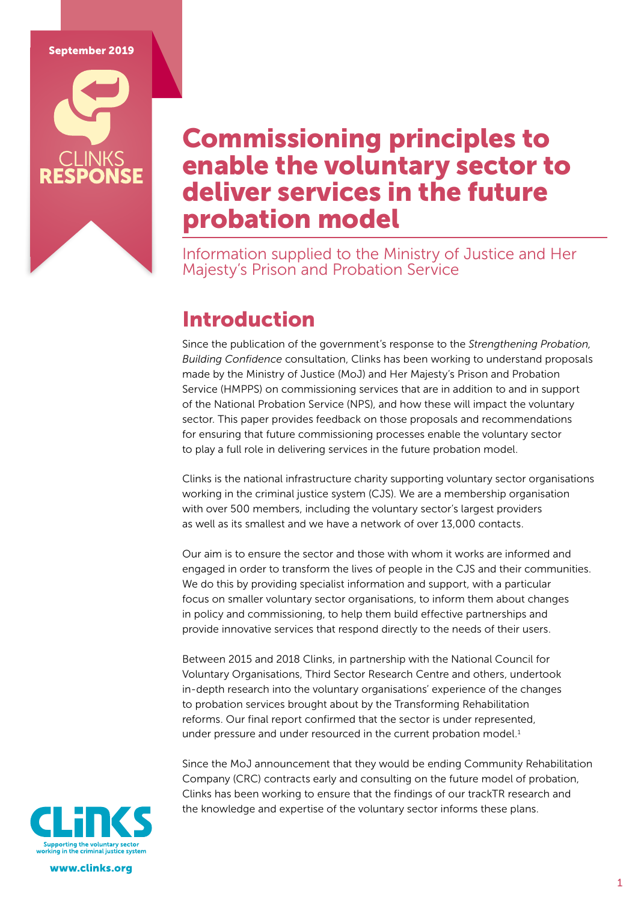### September 2019

## Commissioning principles to enable the voluntary sector to deliver services in the future probation model

Information supplied to the Ministry of Justice and Her Majesty's Prison and Probation Service

## Introduction

Since the publication of the government's response to the *Strengthening Probation, Building Confidence* consultation, Clinks has been working to understand proposals made by the Ministry of Justice (MoJ) and Her Majesty's Prison and Probation Service (HMPPS) on commissioning services that are in addition to and in support of the National Probation Service (NPS), and how these will impact the voluntary sector. This paper provides feedback on those proposals and recommendations for ensuring that future commissioning processes enable the voluntary sector to play a full role in delivering services in the future probation model.

Clinks is the national infrastructure charity supporting voluntary sector organisations working in the criminal justice system (CJS). We are a membership organisation with over 500 members, including the voluntary sector's largest providers as well as its smallest and we have a network of over 13,000 contacts.

Our aim is to ensure the sector and those with whom it works are informed and engaged in order to transform the lives of people in the CJS and their communities. We do this by providing specialist information and support, with a particular focus on smaller voluntary sector organisations, to inform them about changes in policy and commissioning, to help them build effective partnerships and provide innovative services that respond directly to the needs of their users.

Between 2015 and 2018 Clinks, in partnership with the National Council for Voluntary Organisations, Third Sector Research Centre and others, undertook in-depth research into the voluntary organisations' experience of the changes to probation services brought about by the Transforming Rehabilitation reforms. Our final report confirmed that the sector is under represented, under pressure and under resourced in the current probation model.<sup>1</sup>

Since the MoJ announcement that they would be ending Community Rehabilitation Company (CRC) contracts early and consulting on the future model of probation, Clinks has been working to ensure that the findings of our trackTR research and the knowledge and expertise of the voluntary sector informs these plans.



www.clinks.org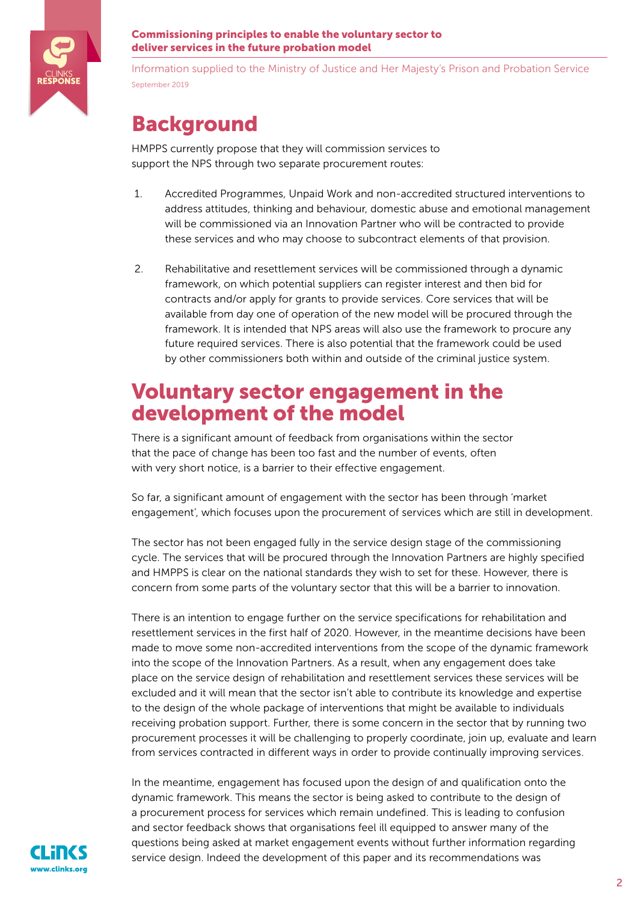

Information supplied to the Ministry of Justice and Her Majesty's Prison and Probation Service September 2019

## Background

HMPPS currently propose that they will commission services to support the NPS through two separate procurement routes:

- 1. Accredited Programmes, Unpaid Work and non-accredited structured interventions to address attitudes, thinking and behaviour, domestic abuse and emotional management will be commissioned via an Innovation Partner who will be contracted to provide these services and who may choose to subcontract elements of that provision.
- 2. Rehabilitative and resettlement services will be commissioned through a dynamic framework, on which potential suppliers can register interest and then bid for contracts and/or apply for grants to provide services. Core services that will be available from day one of operation of the new model will be procured through the framework. It is intended that NPS areas will also use the framework to procure any future required services. There is also potential that the framework could be used by other commissioners both within and outside of the criminal justice system.

## Voluntary sector engagement in the development of the model

There is a significant amount of feedback from organisations within the sector that the pace of change has been too fast and the number of events, often with very short notice, is a barrier to their effective engagement.

So far, a significant amount of engagement with the sector has been through 'market engagement', which focuses upon the procurement of services which are still in development.

The sector has not been engaged fully in the service design stage of the commissioning cycle. The services that will be procured through the Innovation Partners are highly specified and HMPPS is clear on the national standards they wish to set for these. However, there is concern from some parts of the voluntary sector that this will be a barrier to innovation.

There is an intention to engage further on the service specifications for rehabilitation and resettlement services in the first half of 2020. However, in the meantime decisions have been made to move some non-accredited interventions from the scope of the dynamic framework into the scope of the Innovation Partners. As a result, when any engagement does take place on the service design of rehabilitation and resettlement services these services will be excluded and it will mean that the sector isn't able to contribute its knowledge and expertise to the design of the whole package of interventions that might be available to individuals receiving probation support. Further, there is some concern in the sector that by running two procurement processes it will be challenging to properly coordinate, join up, evaluate and learn from services contracted in different ways in order to provide continually improving services.

In the meantime, engagement has focused upon the design of and qualification onto the dynamic framework. This means the sector is being asked to contribute to the design of a procurement process for services which remain undefined. This is leading to confusion and sector feedback shows that organisations feel ill equipped to answer many of the questions being asked at market engagement events without further information regarding service design. Indeed the development of this paper and its recommendations was

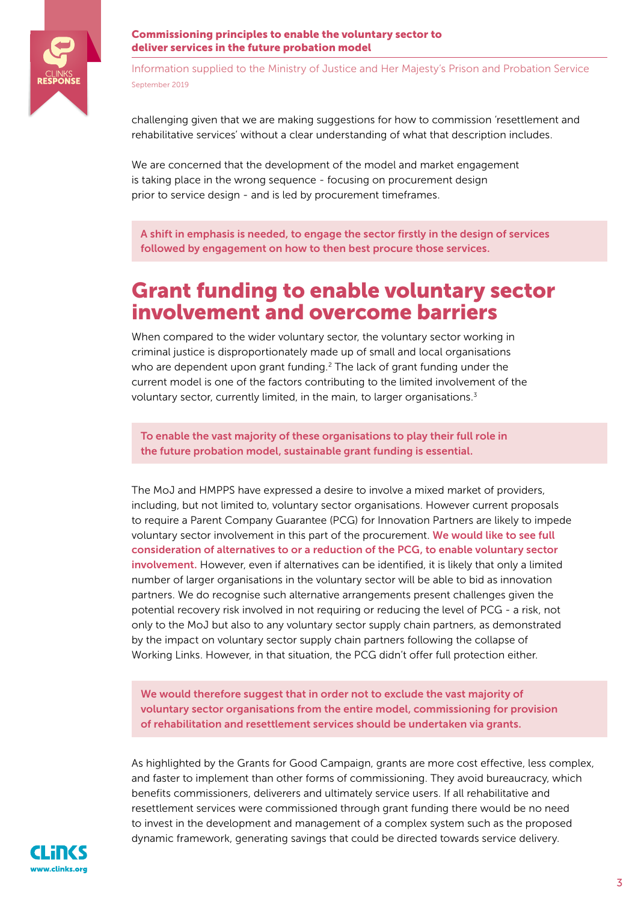

Information supplied to the Ministry of Justice and Her Majesty's Prison and Probation Service September 2019

challenging given that we are making suggestions for how to commission 'resettlement and rehabilitative services' without a clear understanding of what that description includes.

We are concerned that the development of the model and market engagement is taking place in the wrong sequence - focusing on procurement design prior to service design - and is led by procurement timeframes.

A shift in emphasis is needed, to engage the sector firstly in the design of services followed by engagement on how to then best procure those services.

## Grant funding to enable voluntary sector involvement and overcome barriers

When compared to the wider voluntary sector, the voluntary sector working in criminal justice is disproportionately made up of small and local organisations who are dependent upon grant funding.<sup>2</sup> The lack of grant funding under the current model is one of the factors contributing to the limited involvement of the voluntary sector, currently limited, in the main, to larger organisations.<sup>3</sup>

To enable the vast majority of these organisations to play their full role in the future probation model, sustainable grant funding is essential.

The MoJ and HMPPS have expressed a desire to involve a mixed market of providers, including, but not limited to, voluntary sector organisations. However current proposals to require a Parent Company Guarantee (PCG) for Innovation Partners are likely to impede voluntary sector involvement in this part of the procurement. We would like to see full consideration of alternatives to or a reduction of the PCG, to enable voluntary sector involvement. However, even if alternatives can be identified, it is likely that only a limited number of larger organisations in the voluntary sector will be able to bid as innovation partners. We do recognise such alternative arrangements present challenges given the potential recovery risk involved in not requiring or reducing the level of PCG - a risk, not only to the MoJ but also to any voluntary sector supply chain partners, as demonstrated by the impact on voluntary sector supply chain partners following the collapse of Working Links. However, in that situation, the PCG didn't offer full protection either.

We would therefore suggest that in order not to exclude the vast majority of voluntary sector organisations from the entire model, commissioning for provision of rehabilitation and resettlement services should be undertaken via grants.

As highlighted by the Grants for Good Campaign, grants are more cost effective, less complex, and faster to implement than other forms of commissioning. They avoid bureaucracy, which benefits commissioners, deliverers and ultimately service users. If all rehabilitative and resettlement services were commissioned through grant funding there would be no need to invest in the development and management of a complex system such as the proposed dynamic framework, generating savings that could be directed towards service delivery.

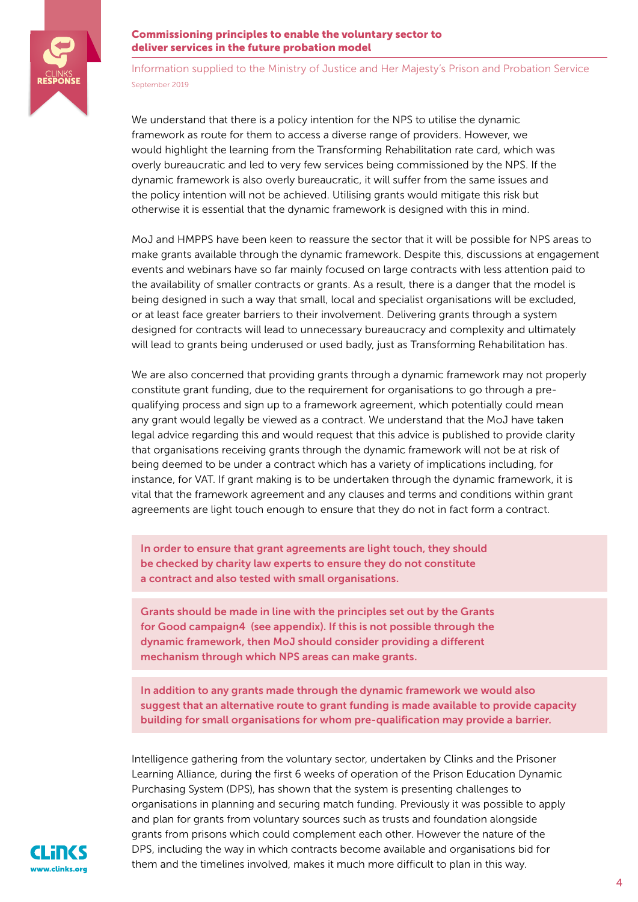

Information supplied to the Ministry of Justice and Her Majesty's Prison and Probation Service September 2019

We understand that there is a policy intention for the NPS to utilise the dynamic framework as route for them to access a diverse range of providers. However, we would highlight the learning from the Transforming Rehabilitation rate card, which was overly bureaucratic and led to very few services being commissioned by the NPS. If the dynamic framework is also overly bureaucratic, it will suffer from the same issues and the policy intention will not be achieved. Utilising grants would mitigate this risk but otherwise it is essential that the dynamic framework is designed with this in mind.

MoJ and HMPPS have been keen to reassure the sector that it will be possible for NPS areas to make grants available through the dynamic framework. Despite this, discussions at engagement events and webinars have so far mainly focused on large contracts with less attention paid to the availability of smaller contracts or grants. As a result, there is a danger that the model is being designed in such a way that small, local and specialist organisations will be excluded, or at least face greater barriers to their involvement. Delivering grants through a system designed for contracts will lead to unnecessary bureaucracy and complexity and ultimately will lead to grants being underused or used badly, just as Transforming Rehabilitation has.

We are also concerned that providing grants through a dynamic framework may not properly constitute grant funding, due to the requirement for organisations to go through a prequalifying process and sign up to a framework agreement, which potentially could mean any grant would legally be viewed as a contract. We understand that the MoJ have taken legal advice regarding this and would request that this advice is published to provide clarity that organisations receiving grants through the dynamic framework will not be at risk of being deemed to be under a contract which has a variety of implications including, for instance, for VAT. If grant making is to be undertaken through the dynamic framework, it is vital that the framework agreement and any clauses and terms and conditions within grant agreements are light touch enough to ensure that they do not in fact form a contract.

In order to ensure that grant agreements are light touch, they should be checked by charity law experts to ensure they do not constitute a contract and also tested with small organisations.

Grants should be made in line with the principles set out by the Grants for Good campaign4 (see appendix). If this is not possible through the dynamic framework, then MoJ should consider providing a different mechanism through which NPS areas can make grants.

In addition to any grants made through the dynamic framework we would also suggest that an alternative route to grant funding is made available to provide capacity building for small organisations for whom pre-qualification may provide a barrier.

Intelligence gathering from the voluntary sector, undertaken by Clinks and the Prisoner Learning Alliance, during the first 6 weeks of operation of the Prison Education Dynamic Purchasing System (DPS), has shown that the system is presenting challenges to organisations in planning and securing match funding. Previously it was possible to apply and plan for grants from voluntary sources such as trusts and foundation alongside grants from prisons which could complement each other. However the nature of the DPS, including the way in which contracts become available and organisations bid for them and the timelines involved, makes it much more difficult to plan in this way.

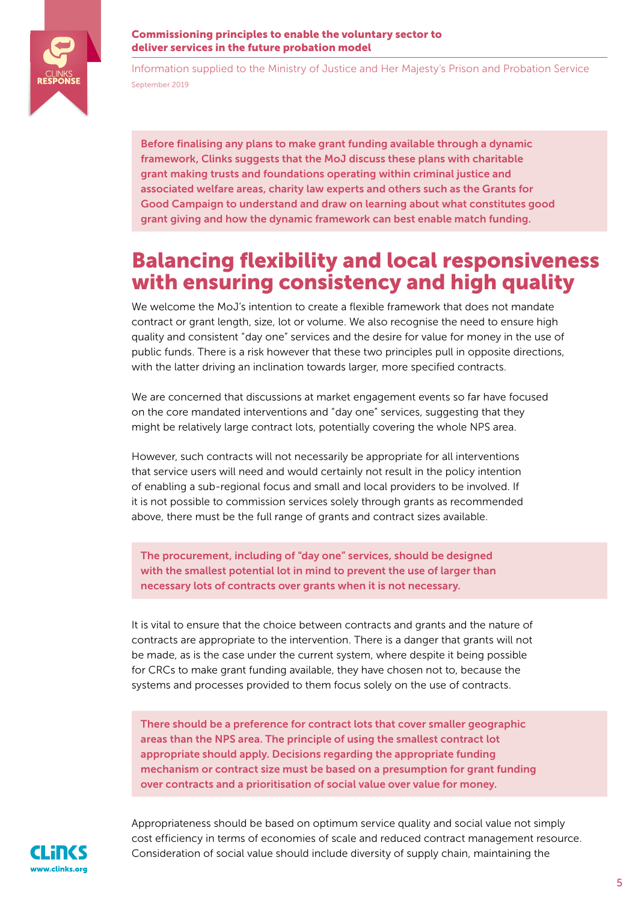

Information supplied to the Ministry of Justice and Her Majesty's Prison and Probation Service September 2019

Before finalising any plans to make grant funding available through a dynamic framework, Clinks suggests that the MoJ discuss these plans with charitable grant making trusts and foundations operating within criminal justice and associated welfare areas, charity law experts and others such as the Grants for Good Campaign to understand and draw on learning about what constitutes good grant giving and how the dynamic framework can best enable match funding.

## Balancing flexibility and local responsiveness with ensuring consistency and high quality

We welcome the MoJ's intention to create a flexible framework that does not mandate contract or grant length, size, lot or volume. We also recognise the need to ensure high quality and consistent "day one" services and the desire for value for money in the use of public funds. There is a risk however that these two principles pull in opposite directions, with the latter driving an inclination towards larger, more specified contracts.

We are concerned that discussions at market engagement events so far have focused on the core mandated interventions and "day one" services, suggesting that they might be relatively large contract lots, potentially covering the whole NPS area.

However, such contracts will not necessarily be appropriate for all interventions that service users will need and would certainly not result in the policy intention of enabling a sub-regional focus and small and local providers to be involved. If it is not possible to commission services solely through grants as recommended above, there must be the full range of grants and contract sizes available.

The procurement, including of "day one" services, should be designed with the smallest potential lot in mind to prevent the use of larger than necessary lots of contracts over grants when it is not necessary.

It is vital to ensure that the choice between contracts and grants and the nature of contracts are appropriate to the intervention. There is a danger that grants will not be made, as is the case under the current system, where despite it being possible for CRCs to make grant funding available, they have chosen not to, because the systems and processes provided to them focus solely on the use of contracts.

There should be a preference for contract lots that cover smaller geographic areas than the NPS area. The principle of using the smallest contract lot appropriate should apply. Decisions regarding the appropriate funding mechanism or contract size must be based on a presumption for grant funding over contracts and a prioritisation of social value over value for money.



Appropriateness should be based on optimum service quality and social value not simply cost efficiency in terms of economies of scale and reduced contract management resource. Consideration of social value should include diversity of supply chain, maintaining the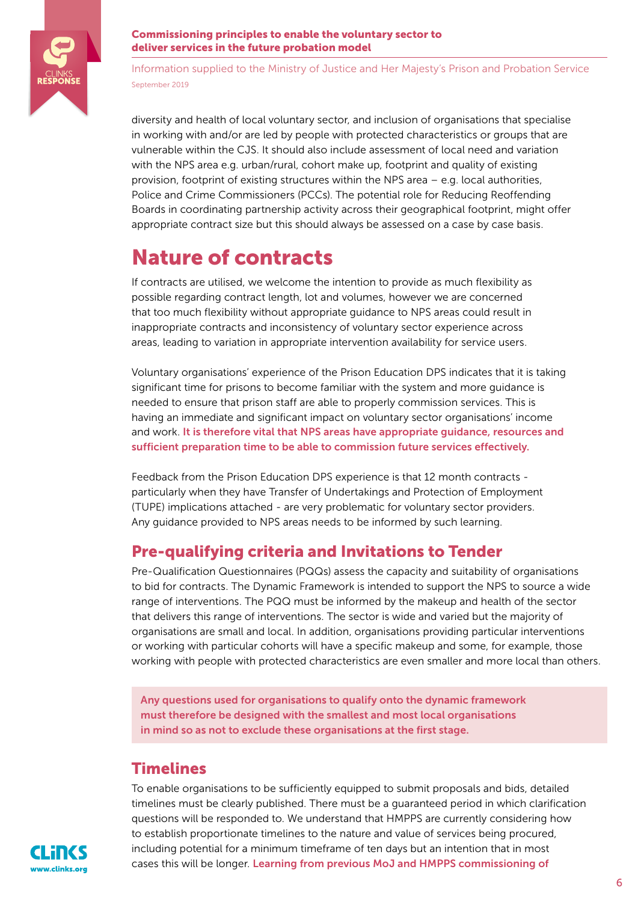

Information supplied to the Ministry of Justice and Her Majesty's Prison and Probation Service September 2019

diversity and health of local voluntary sector, and inclusion of organisations that specialise in working with and/or are led by people with protected characteristics or groups that are vulnerable within the CJS. It should also include assessment of local need and variation with the NPS area e.g. urban/rural, cohort make up, footprint and quality of existing provision, footprint of existing structures within the NPS area – e.g. local authorities, Police and Crime Commissioners (PCCs). The potential role for Reducing Reoffending Boards in coordinating partnership activity across their geographical footprint, might offer appropriate contract size but this should always be assessed on a case by case basis.

## Nature of contracts

If contracts are utilised, we welcome the intention to provide as much flexibility as possible regarding contract length, lot and volumes, however we are concerned that too much flexibility without appropriate guidance to NPS areas could result in inappropriate contracts and inconsistency of voluntary sector experience across areas, leading to variation in appropriate intervention availability for service users.

Voluntary organisations' experience of the Prison Education DPS indicates that it is taking significant time for prisons to become familiar with the system and more guidance is needed to ensure that prison staff are able to properly commission services. This is having an immediate and significant impact on voluntary sector organisations' income and work. It is therefore vital that NPS areas have appropriate guidance, resources and sufficient preparation time to be able to commission future services effectively.

Feedback from the Prison Education DPS experience is that 12 month contracts particularly when they have Transfer of Undertakings and Protection of Employment (TUPE) implications attached - are very problematic for voluntary sector providers. Any guidance provided to NPS areas needs to be informed by such learning.

### Pre-qualifying criteria and Invitations to Tender

Pre-Qualification Questionnaires (PQQs) assess the capacity and suitability of organisations to bid for contracts. The Dynamic Framework is intended to support the NPS to source a wide range of interventions. The PQQ must be informed by the makeup and health of the sector that delivers this range of interventions. The sector is wide and varied but the majority of organisations are small and local. In addition, organisations providing particular interventions or working with particular cohorts will have a specific makeup and some, for example, those working with people with protected characteristics are even smaller and more local than others.

Any questions used for organisations to qualify onto the dynamic framework must therefore be designed with the smallest and most local organisations in mind so as not to exclude these organisations at the first stage.

### **Timelines**

To enable organisations to be sufficiently equipped to submit proposals and bids, detailed timelines must be clearly published. There must be a guaranteed period in which clarification questions will be responded to. We understand that HMPPS are currently considering how to establish proportionate timelines to the nature and value of services being procured, including potential for a minimum timeframe of ten days but an intention that in most cases this will be longer. Learning from previous MoJ and HMPPS commissioning of

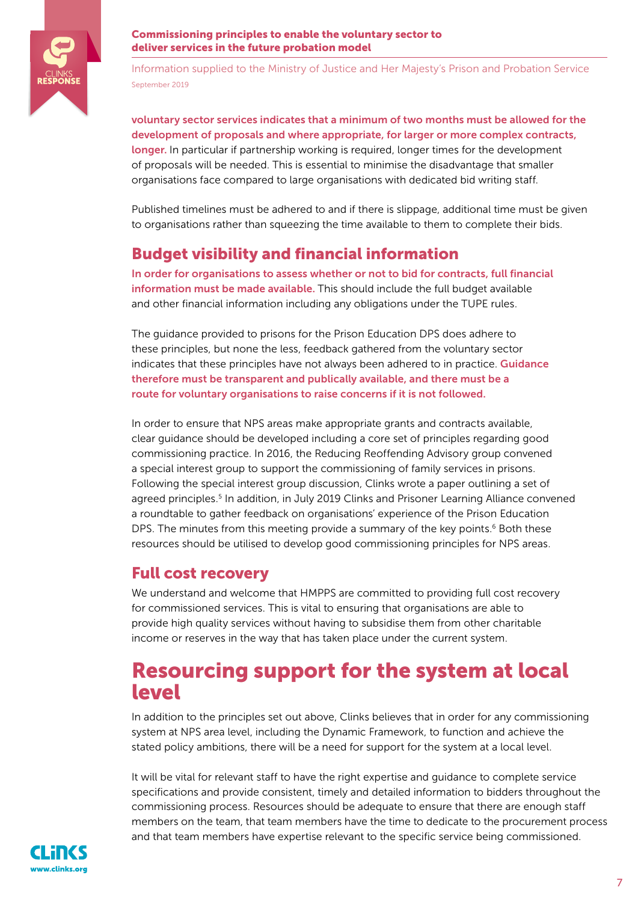

Information supplied to the Ministry of Justice and Her Majesty's Prison and Probation Service September 2019

voluntary sector services indicates that a minimum of two months must be allowed for the development of proposals and where appropriate, for larger or more complex contracts, longer. In particular if partnership working is required, longer times for the development of proposals will be needed. This is essential to minimise the disadvantage that smaller organisations face compared to large organisations with dedicated bid writing staff.

Published timelines must be adhered to and if there is slippage, additional time must be given to organisations rather than squeezing the time available to them to complete their bids.

### Budget visibility and financial information

In order for organisations to assess whether or not to bid for contracts, full financial information must be made available. This should include the full budget available and other financial information including any obligations under the TUPE rules.

The guidance provided to prisons for the Prison Education DPS does adhere to these principles, but none the less, feedback gathered from the voluntary sector indicates that these principles have not always been adhered to in practice. **Guidance** therefore must be transparent and publically available, and there must be a route for voluntary organisations to raise concerns if it is not followed.

In order to ensure that NPS areas make appropriate grants and contracts available, clear guidance should be developed including a core set of principles regarding good commissioning practice. In 2016, the Reducing Reoffending Advisory group convened a special interest group to support the commissioning of family services in prisons. Following the special interest group discussion, Clinks wrote a paper outlining a set of agreed principles.<sup>5</sup> In addition, in July 2019 Clinks and Prisoner Learning Alliance convened a roundtable to gather feedback on organisations' experience of the Prison Education DPS. The minutes from this meeting provide a summary of the key points.<sup>6</sup> Both these resources should be utilised to develop good commissioning principles for NPS areas.

### Full cost recovery

We understand and welcome that HMPPS are committed to providing full cost recovery for commissioned services. This is vital to ensuring that organisations are able to provide high quality services without having to subsidise them from other charitable income or reserves in the way that has taken place under the current system.

## Resourcing support for the system at local level

In addition to the principles set out above, Clinks believes that in order for any commissioning system at NPS area level, including the Dynamic Framework, to function and achieve the stated policy ambitions, there will be a need for support for the system at a local level.

It will be vital for relevant staff to have the right expertise and guidance to complete service specifications and provide consistent, timely and detailed information to bidders throughout the commissioning process. Resources should be adequate to ensure that there are enough staff members on the team, that team members have the time to dedicate to the procurement process and that team members have expertise relevant to the specific service being commissioned.

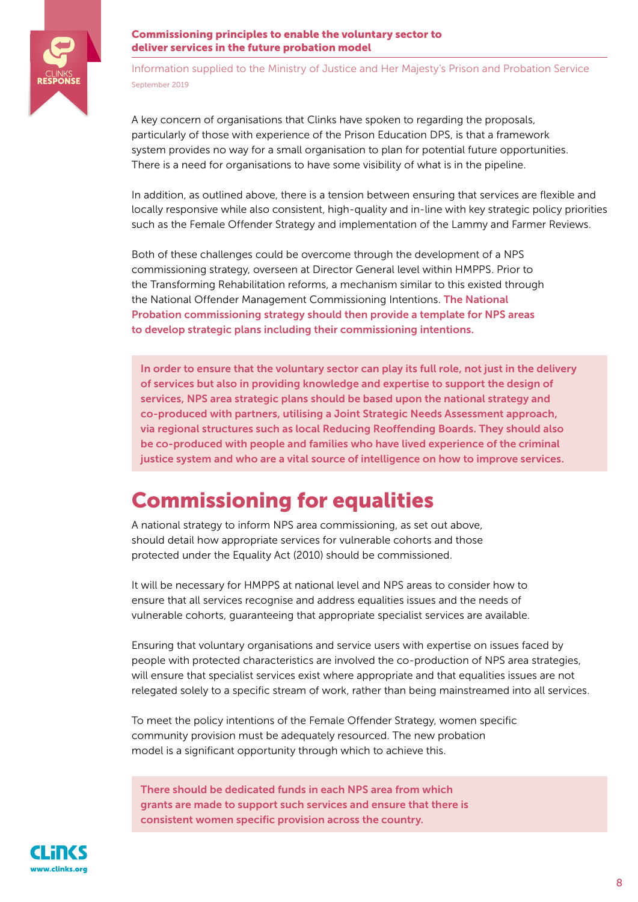

Information supplied to the Ministry of Justice and Her Majesty's Prison and Probation Service September 2019

A key concern of organisations that Clinks have spoken to regarding the proposals, particularly of those with experience of the Prison Education DPS, is that a framework system provides no way for a small organisation to plan for potential future opportunities. There is a need for organisations to have some visibility of what is in the pipeline.

In addition, as outlined above, there is a tension between ensuring that services are flexible and locally responsive while also consistent, high-quality and in-line with key strategic policy priorities such as the Female Offender Strategy and implementation of the Lammy and Farmer Reviews.

Both of these challenges could be overcome through the development of a NPS commissioning strategy, overseen at Director General level within HMPPS. Prior to the Transforming Rehabilitation reforms, a mechanism similar to this existed through the National Offender Management Commissioning Intentions. The National Probation commissioning strategy should then provide a template for NPS areas to develop strategic plans including their commissioning intentions.

In order to ensure that the voluntary sector can play its full role, not just in the delivery of services but also in providing knowledge and expertise to support the design of services, NPS area strategic plans should be based upon the national strategy and co-produced with partners, utilising a Joint Strategic Needs Assessment approach, via regional structures such as local Reducing Reoffending Boards. They should also be co-produced with people and families who have lived experience of the criminal justice system and who are a vital source of intelligence on how to improve services.

## Commissioning for equalities

A national strategy to inform NPS area commissioning, as set out above, should detail how appropriate services for vulnerable cohorts and those protected under the Equality Act (2010) should be commissioned.

It will be necessary for HMPPS at national level and NPS areas to consider how to ensure that all services recognise and address equalities issues and the needs of vulnerable cohorts, guaranteeing that appropriate specialist services are available.

Ensuring that voluntary organisations and service users with expertise on issues faced by people with protected characteristics are involved the co-production of NPS area strategies, will ensure that specialist services exist where appropriate and that equalities issues are not relegated solely to a specific stream of work, rather than being mainstreamed into all services.

To meet the policy intentions of the Female Offender Strategy, women specific community provision must be adequately resourced. The new probation model is a significant opportunity through which to achieve this.

There should be dedicated funds in each NPS area from which grants are made to support such services and ensure that there is consistent women specific provision across the country.

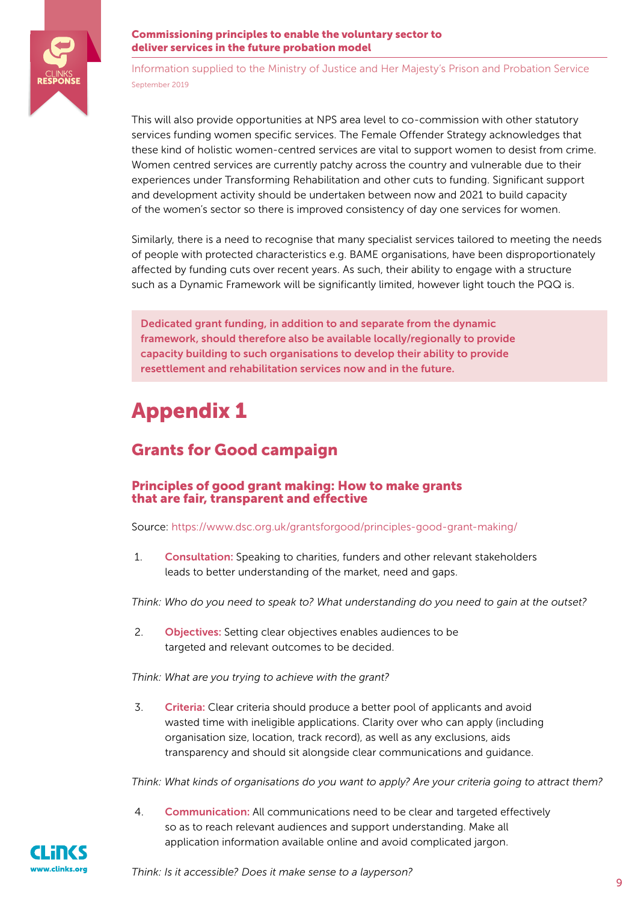

Information supplied to the Ministry of Justice and Her Majesty's Prison and Probation Service September 2019

This will also provide opportunities at NPS area level to co-commission with other statutory services funding women specific services. The Female Offender Strategy acknowledges that these kind of holistic women-centred services are vital to support women to desist from crime. Women centred services are currently patchy across the country and vulnerable due to their experiences under Transforming Rehabilitation and other cuts to funding. Significant support and development activity should be undertaken between now and 2021 to build capacity of the women's sector so there is improved consistency of day one services for women.

Similarly, there is a need to recognise that many specialist services tailored to meeting the needs of people with protected characteristics e.g. BAME organisations, have been disproportionately affected by funding cuts over recent years. As such, their ability to engage with a structure such as a Dynamic Framework will be significantly limited, however light touch the PQQ is.

Dedicated grant funding, in addition to and separate from the dynamic framework, should therefore also be available locally/regionally to provide capacity building to such organisations to develop their ability to provide resettlement and rehabilitation services now and in the future.

## Appendix 1

### Grants for Good campaign

### Principles of good grant making: How to make grants that are fair, transparent and effective

Source:<https://www.dsc.org.uk/grantsforgood/principles-good-grant-making/>

1. Consultation: Speaking to charities, funders and other relevant stakeholders leads to better understanding of the market, need and gaps.

*Think: Who do you need to speak to? What understanding do you need to gain at the outset?* 

2. **Objectives:** Setting clear objectives enables audiences to be targeted and relevant outcomes to be decided.

*Think: What are you trying to achieve with the grant?* 

3. Criteria: Clear criteria should produce a better pool of applicants and avoid wasted time with ineligible applications. Clarity over who can apply (including organisation size, location, track record), as well as any exclusions, aids transparency and should sit alongside clear communications and guidance.

*Think: What kinds of organisations do you want to apply? Are your criteria going to attract them?* 

4. Communication: All communications need to be clear and targeted effectively so as to reach relevant audiences and support understanding. Make all application information available online and avoid complicated jargon.

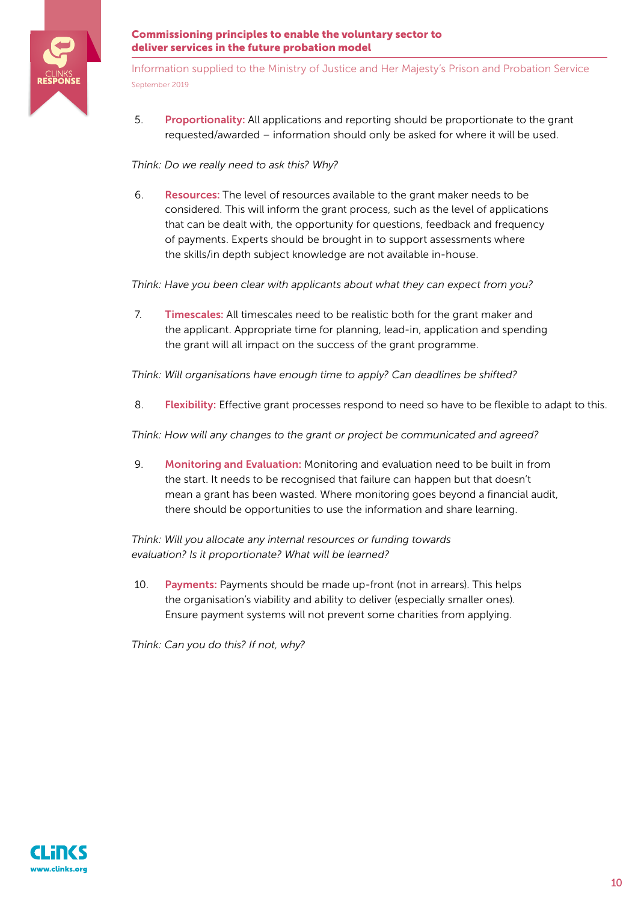

Information supplied to the Ministry of Justice and Her Majesty's Prison and Probation Service September 2019

5. Proportionality: All applications and reporting should be proportionate to the grant requested/awarded – information should only be asked for where it will be used.

### *Think: Do we really need to ask this? Why?*

6. Resources: The level of resources available to the grant maker needs to be considered. This will inform the grant process, such as the level of applications that can be dealt with, the opportunity for questions, feedback and frequency of payments. Experts should be brought in to support assessments where the skills/in depth subject knowledge are not available in-house.

*Think: Have you been clear with applicants about what they can expect from you?*

7. Timescales: All timescales need to be realistic both for the grant maker and the applicant. Appropriate time for planning, lead-in, application and spending the grant will all impact on the success of the grant programme.

*Think: Will organisations have enough time to apply? Can deadlines be shifted?* 

8. **Flexibility:** Effective grant processes respond to need so have to be flexible to adapt to this.

*Think: How will any changes to the grant or project be communicated and agreed?* 

9. Monitoring and Evaluation: Monitoring and evaluation need to be built in from the start. It needs to be recognised that failure can happen but that doesn't mean a grant has been wasted. Where monitoring goes beyond a financial audit, there should be opportunities to use the information and share learning.

*Think: Will you allocate any internal resources or funding towards evaluation? Is it proportionate? What will be learned?* 

10. Payments: Payments should be made up-front (not in arrears). This helps the organisation's viability and ability to deliver (especially smaller ones). Ensure payment systems will not prevent some charities from applying.

*Think: Can you do this? If not, why?*